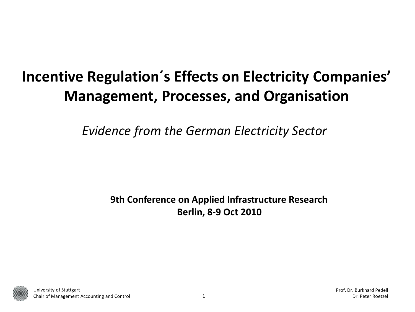# **Incentive Regulation´s Effects on Electricity Companies' Management, Processes, and Organisation**

*Evidence from the German Electricity Sector* 

**9th Conference on Applied Infrastructure Research Berlin, 8-9 Oct 2010** 

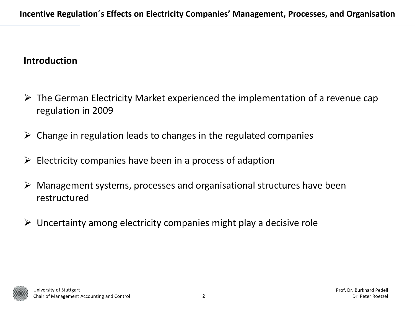### **Introduction**

- $\triangleright$  The German Electricity Market experienced the implementation of a revenue cap regulation in 2009
- $\triangleright$  Change in regulation leads to changes in the regulated companies
- $\triangleright$  Electricity companies have been in a process of adaption
- $\triangleright$  Management systems, processes and organisational structures have been restructured
- $\triangleright$  Uncertainty among electricity companies might play a decisive role

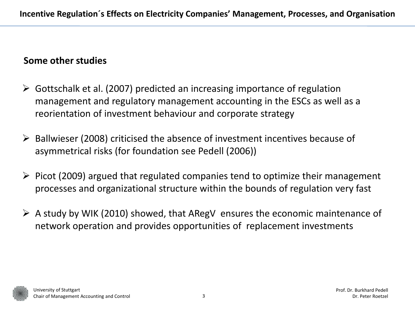#### **Some other studies**

- $\triangleright$  Gottschalk et al. (2007) predicted an increasing importance of regulation management and regulatory management accounting in the ESCs as well as a reorientation of investment behaviour and corporate strategy
- $\triangleright$  Ballwieser (2008) criticised the absence of investment incentives because of asymmetrical risks (for foundation see Pedell (2006))
- $\triangleright$  Picot (2009) argued that regulated companies tend to optimize their management processes and organizational structure within the bounds of regulation very fast
- $\triangleright$  A study by WIK (2010) showed, that ARegV ensures the economic maintenance of network operation and provides opportunities of replacement investments

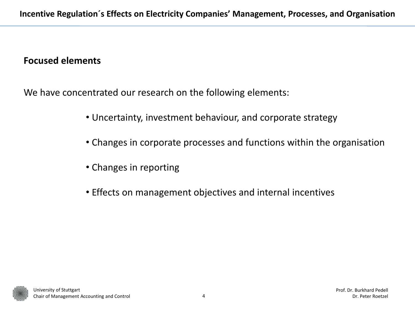#### **Focused elements**

We have concentrated our research on the following elements:

- Uncertainty, investment behaviour, and corporate strategy
- Changes in corporate processes and functions within the organisation
- Changes in reporting
- Effects on management objectives and internal incentives

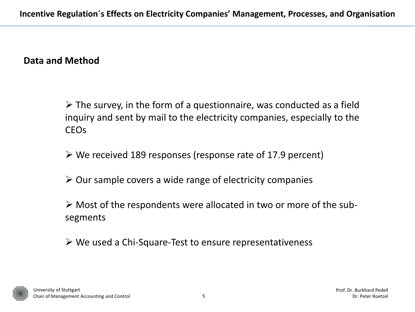#### **Data and Method**

 $\triangleright$  The survey, in the form of a questionnaire, was conducted as a field inquiry and sent by mail to the electricity companies, especially to the CEOs

- $\triangleright$  We received 189 responses (response rate of 17.9 percent)
- $\triangleright$  Our sample covers a wide range of electricity companies

 $\triangleright$  Most of the respondents were allocated in two or more of the subsegments

We used a Chi-Square-Test to ensure representativeness

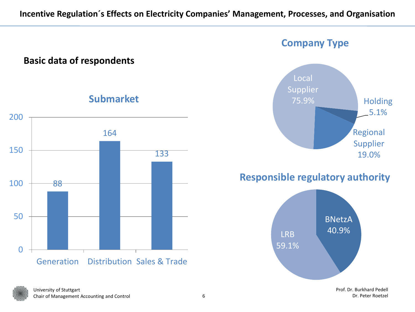#### **Incentive Regulation´s Effects on Electricity Companies' Management, Processes, and Organisation**

#### **Basic data of respondents** 88 164 133 0 50 100 150 200 Generation Distribution Sales & Trade **Submarket** 25.9% and Holding Regional Supplier Local Supplier 75.9% **Company Type** BNetzA LRB 40.9% 59.1% **Responsible regulatory authority**



5.1%

19.0%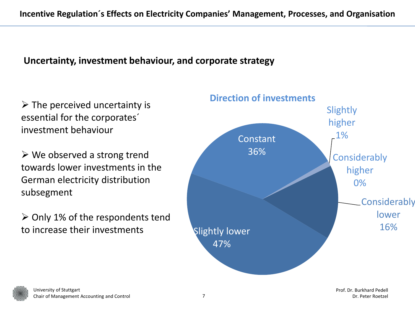## **Uncertainty, investment behaviour, and corporate strategy**

essential for the corporates´ investment behaviour

 $\triangleright$  We observed a strong trend towards lower investments in the German electricity distribution subsegment

 $\geq$  Only 1% of the respondents tend to increase their investments



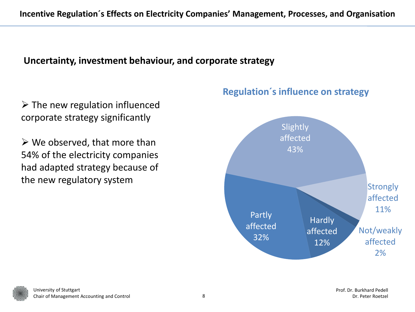### **Uncertainty, investment behaviour, and corporate strategy**

 $\triangleright$  The new regulation influenced corporate strategy significantly

 $\triangleright$  We observed, that more than 54% of the electricity companies had adapted strategy because of the new regulatory system



#### **Regulation´s influence on strategy**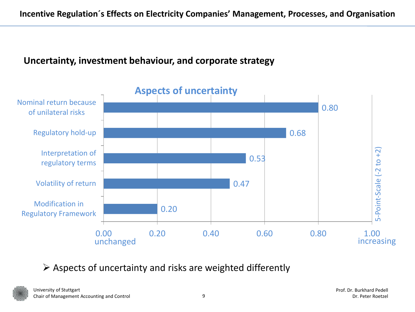## **Uncertainty, investment behaviour, and corporate strategy**



## $\triangleright$  Aspects of uncertainty and risks are weighted differently

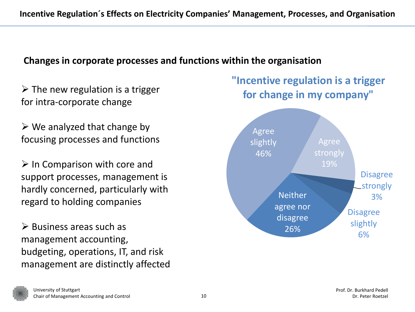for intra-corporate change

 $\triangleright$  We analyzed that change by focusing processes and functions

 $\triangleright$  In Comparison with core and support processes, management is hardly concerned, particularly with regard to holding companies

 $\triangleright$  Business areas such as management accounting, budgeting, operations, IT, and risk management are distinctly affected

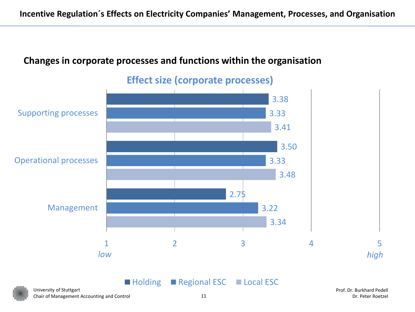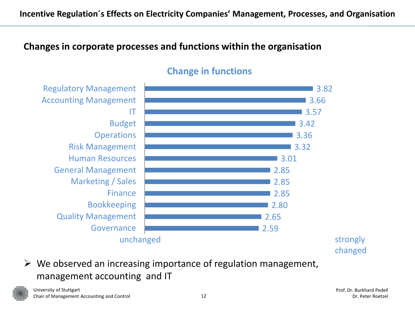

### **Change in functions**

 $\triangleright$  We observed an increasing importance of regulation management, management accounting and IT

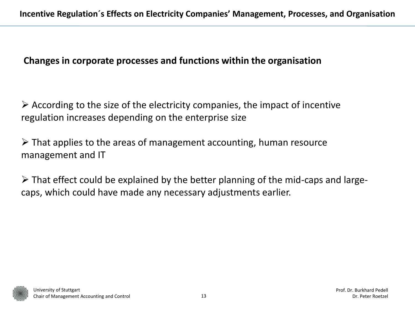$\triangleright$  According to the size of the electricity companies, the impact of incentive regulation increases depending on the enterprise size

 $\triangleright$  That applies to the areas of management accounting, human resource management and IT

 $\triangleright$  That effect could be explained by the better planning of the mid-caps and largecaps, which could have made any necessary adjustments earlier.

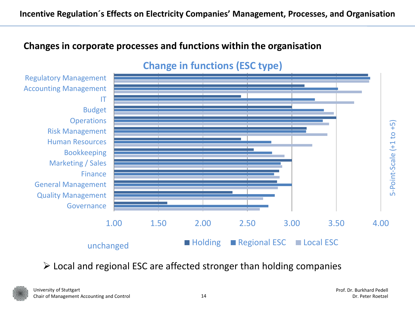

## **Change in functions (ESC type)**

 $\triangleright$  Local and regional ESC are affected stronger than holding companies

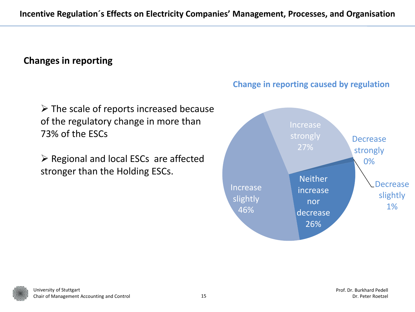## **Changes in reporting**

 $\triangleright$  The scale of reports increased because of the regulatory change in more than 73% of the ESCs

 $\triangleright$  Regional and local ESCs are affected stronger than the Holding ESCs.



#### **Change in reporting caused by regulation**

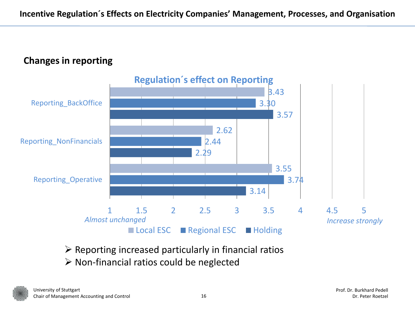

- $\triangleright$  Reporting increased particularly in financial ratios
- $\triangleright$  Non-financial ratios could be neglected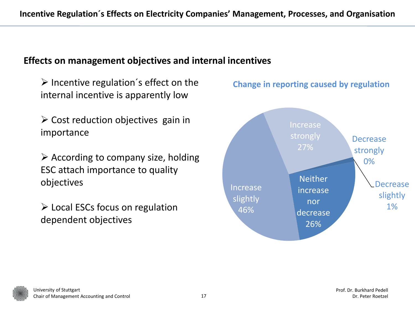### **Effects on management objectives and internal incentives**

 $\triangleright$  Incentive regulation's effect on the internal incentive is apparently low

 $\triangleright$  Cost reduction objectives gain in importance

 $\triangleright$  According to company size, holding ESC attach importance to quality objectives

 $\triangleright$  Local ESCs focus on regulation dependent objectives



#### **Change in reporting caused by regulation**

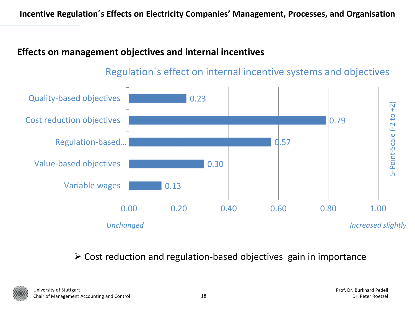## **Effects on management objectives and internal incentives**



Regulation´s effect on internal incentive systems and objectives

 $\triangleright$  Cost reduction and regulation-based objectives gain in importance

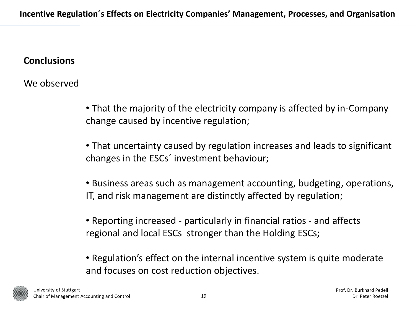#### **Conclusions**

We observed

• That the majority of the electricity company is affected by in-Company change caused by incentive regulation;

• That uncertainty caused by regulation increases and leads to significant changes in the ESCs´ investment behaviour;

• Business areas such as management accounting, budgeting, operations, IT, and risk management are distinctly affected by regulation;

• Reporting increased - particularly in financial ratios - and affects regional and local ESCs stronger than the Holding ESCs;

• Regulation's effect on the internal incentive system is quite moderate and focuses on cost reduction objectives.